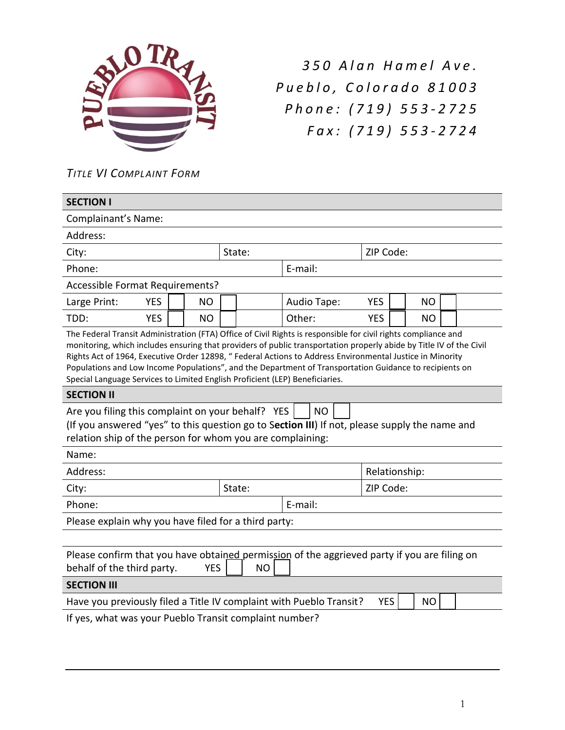

*3 5 0 A l a n H a m e l A v e . P u e b l o , C o l o r a d o 8 1 0 0 3 P h o n e : ( 7 1 9 ) 5 5 3 - 2 7 2 5 F a x : ( 7 1 9 ) 5 5 3 - 2 7 2 4*

*TITLE VI COMPLAINT FORM* 

| <b>SECTION I</b>                                                                                                                                                                                                                                                                                                                                                                                                                                                                                                                              |         |               |            |           |  |  |  |
|-----------------------------------------------------------------------------------------------------------------------------------------------------------------------------------------------------------------------------------------------------------------------------------------------------------------------------------------------------------------------------------------------------------------------------------------------------------------------------------------------------------------------------------------------|---------|---------------|------------|-----------|--|--|--|
| Complainant's Name:                                                                                                                                                                                                                                                                                                                                                                                                                                                                                                                           |         |               |            |           |  |  |  |
| Address:                                                                                                                                                                                                                                                                                                                                                                                                                                                                                                                                      |         |               |            |           |  |  |  |
| State:<br>City:                                                                                                                                                                                                                                                                                                                                                                                                                                                                                                                               |         |               | ZIP Code:  |           |  |  |  |
| Phone:                                                                                                                                                                                                                                                                                                                                                                                                                                                                                                                                        |         | E-mail:       |            |           |  |  |  |
| Accessible Format Requirements?                                                                                                                                                                                                                                                                                                                                                                                                                                                                                                               |         |               |            |           |  |  |  |
| <b>YES</b><br><b>NO</b><br>Large Print:                                                                                                                                                                                                                                                                                                                                                                                                                                                                                                       |         | Audio Tape:   | <b>YES</b> | <b>NO</b> |  |  |  |
| TDD:<br><b>YES</b><br><b>NO</b>                                                                                                                                                                                                                                                                                                                                                                                                                                                                                                               |         | Other:        | <b>YES</b> | NO        |  |  |  |
| The Federal Transit Administration (FTA) Office of Civil Rights is responsible for civil rights compliance and<br>monitoring, which includes ensuring that providers of public transportation properly abide by Title IV of the Civil<br>Rights Act of 1964, Executive Order 12898, " Federal Actions to Address Environmental Justice in Minority<br>Populations and Low Income Populations", and the Department of Transportation Guidance to recipients on<br>Special Language Services to Limited English Proficient (LEP) Beneficiaries. |         |               |            |           |  |  |  |
| <b>SECTION II</b>                                                                                                                                                                                                                                                                                                                                                                                                                                                                                                                             |         |               |            |           |  |  |  |
| Are you filing this complaint on your behalf? YES<br><b>NO</b><br>(If you answered "yes" to this question go to Section III) If not, please supply the name and<br>relation ship of the person for whom you are complaining:                                                                                                                                                                                                                                                                                                                  |         |               |            |           |  |  |  |
| Name:                                                                                                                                                                                                                                                                                                                                                                                                                                                                                                                                         |         |               |            |           |  |  |  |
| Address:                                                                                                                                                                                                                                                                                                                                                                                                                                                                                                                                      |         | Relationship: |            |           |  |  |  |
| City:                                                                                                                                                                                                                                                                                                                                                                                                                                                                                                                                         | State:  |               | ZIP Code:  |           |  |  |  |
| Phone:                                                                                                                                                                                                                                                                                                                                                                                                                                                                                                                                        | E-mail: |               |            |           |  |  |  |
| Please explain why you have filed for a third party:                                                                                                                                                                                                                                                                                                                                                                                                                                                                                          |         |               |            |           |  |  |  |
|                                                                                                                                                                                                                                                                                                                                                                                                                                                                                                                                               |         |               |            |           |  |  |  |
| Please confirm that you have obtained permission of the aggrieved party if you are filing on<br>behalf of the third party.<br><b>YES</b><br><b>NO</b>                                                                                                                                                                                                                                                                                                                                                                                         |         |               |            |           |  |  |  |
| <b>SECTION III</b>                                                                                                                                                                                                                                                                                                                                                                                                                                                                                                                            |         |               |            |           |  |  |  |
| Have you previously filed a Title IV complaint with Pueblo Transit?<br><b>YES</b><br><b>NO</b>                                                                                                                                                                                                                                                                                                                                                                                                                                                |         |               |            |           |  |  |  |
| If yes, what was your Pueblo Transit complaint number?                                                                                                                                                                                                                                                                                                                                                                                                                                                                                        |         |               |            |           |  |  |  |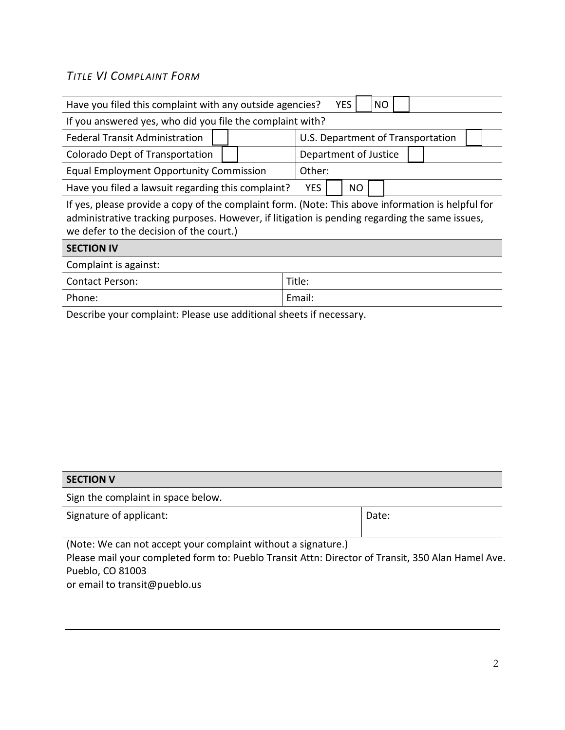## *TITLE VI COMPLAINT FORM*

| Have you filed this complaint with any outside agencies?                                                                                                                                                                                       | <b>NO</b><br><b>YES</b>           |  |  |  |  |  |
|------------------------------------------------------------------------------------------------------------------------------------------------------------------------------------------------------------------------------------------------|-----------------------------------|--|--|--|--|--|
| If you answered yes, who did you file the complaint with?                                                                                                                                                                                      |                                   |  |  |  |  |  |
| <b>Federal Transit Administration</b>                                                                                                                                                                                                          | U.S. Department of Transportation |  |  |  |  |  |
| Colorado Dept of Transportation                                                                                                                                                                                                                | Department of Justice             |  |  |  |  |  |
| <b>Equal Employment Opportunity Commission</b>                                                                                                                                                                                                 | Other:                            |  |  |  |  |  |
| Have you filed a lawsuit regarding this complaint?                                                                                                                                                                                             | <b>YES</b><br><b>NO</b>           |  |  |  |  |  |
| If yes, please provide a copy of the complaint form. (Note: This above information is helpful for<br>administrative tracking purposes. However, if litigation is pending regarding the same issues,<br>we defer to the decision of the court.) |                                   |  |  |  |  |  |
| <b>SECTION IV</b>                                                                                                                                                                                                                              |                                   |  |  |  |  |  |
| Complaint is against:                                                                                                                                                                                                                          |                                   |  |  |  |  |  |
| <b>Contact Person:</b>                                                                                                                                                                                                                         | Title:                            |  |  |  |  |  |
| Phone:                                                                                                                                                                                                                                         | Email:                            |  |  |  |  |  |

Describe your complaint: Please use additional sheets if necessary.

| <b>SECTION V</b>                                                                                  |       |  |  |  |  |
|---------------------------------------------------------------------------------------------------|-------|--|--|--|--|
| Sign the complaint in space below.                                                                |       |  |  |  |  |
| Signature of applicant:                                                                           | Date: |  |  |  |  |
|                                                                                                   |       |  |  |  |  |
| (Note: We can not accept your complaint without a signature.)                                     |       |  |  |  |  |
| Please mail your completed form to: Pueblo Transit Attn: Director of Transit, 350 Alan Hamel Ave. |       |  |  |  |  |
| Pueblo, CO 81003                                                                                  |       |  |  |  |  |

or email to transit@pueblo.us